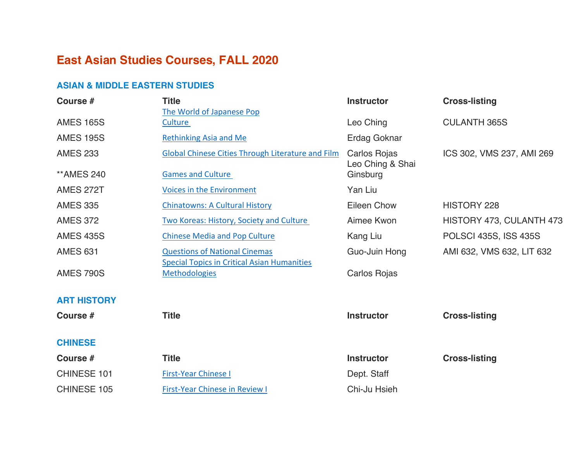# **East Asian Studies Courses, FALL 2020**

#### **ASIAN & MIDDLE EASTERN STUDIES**

| Course #                 | <b>Title</b><br>The World of Japanese Pop                                  | <b>Instructor</b>                | <b>Cross-listing</b>      |
|--------------------------|----------------------------------------------------------------------------|----------------------------------|---------------------------|
| <b>AMES 165S</b>         | Culture                                                                    | Leo Ching                        | <b>CULANTH 365S</b>       |
| <b>AMES 195S</b>         | <b>Rethinking Asia and Me</b>                                              | <b>Erdag Goknar</b>              |                           |
| <b>AMES 233</b>          | Global Chinese Cities Through Literature and Film                          | Carlos Rojas<br>Leo Ching & Shai | ICS 302, VMS 237, AMI 269 |
| <b><i>**AMES 240</i></b> | <b>Games and Culture</b>                                                   | Ginsburg                         |                           |
| <b>AMES 272T</b>         | Voices in the Environment                                                  | Yan Liu                          |                           |
| <b>AMES 335</b>          | <b>Chinatowns: A Cultural History</b>                                      | <b>Eileen Chow</b>               | <b>HISTORY 228</b>        |
| <b>AMES 372</b>          | Two Koreas: History, Society and Culture                                   | Aimee Kwon                       | HISTORY 473, CULANTH 473  |
| <b>AMES 435S</b>         | <b>Chinese Media and Pop Culture</b>                                       | Kang Liu                         | POLSCI 435S, ISS 435S     |
| <b>AMES 631</b>          | <b>Questions of National Cinemas</b>                                       | Guo-Juin Hong                    | AMI 632, VMS 632, LIT 632 |
| <b>AMES 790S</b>         | <b>Special Topics in Critical Asian Humanities</b><br><b>Methodologies</b> | Carlos Rojas                     |                           |
| <b>ART HISTORY</b>       |                                                                            |                                  |                           |
| Course #                 | <b>Title</b>                                                               | <b>Instructor</b>                | <b>Cross-listing</b>      |
| <b>CHINESE</b>           |                                                                            |                                  |                           |
| Course #                 | <b>Title</b>                                                               | <b>Instructor</b>                | <b>Cross-listing</b>      |
| CHINESE 101              | <b>First-Year Chinese I</b>                                                | Dept. Staff                      |                           |
| <b>CHINESE 105</b>       | <b>First-Year Chinese in Review I</b>                                      | Chi-Ju Hsieh                     |                           |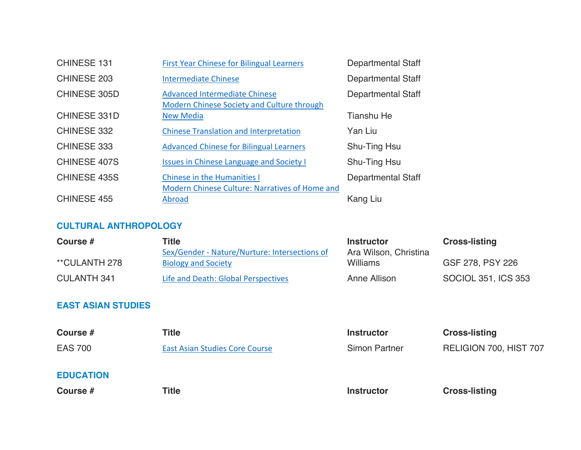| <b>CHINESE 131</b>  | <b>First Year Chinese for Bilingual Learners</b>                                     | <b>Departmental Staff</b> |
|---------------------|--------------------------------------------------------------------------------------|---------------------------|
| CHINESE 203         | <b>Intermediate Chinese</b>                                                          | <b>Departmental Staff</b> |
| <b>CHINESE 305D</b> | <b>Advanced Intermediate Chinese</b><br>Modern Chinese Society and Culture through   | <b>Departmental Staff</b> |
| <b>CHINESE 331D</b> | <b>New Media</b>                                                                     | <b>Tianshu He</b>         |
| CHINESE 332         | <b>Chinese Translation and Interpretation</b>                                        | Yan Liu                   |
| CHINESE 333         | <b>Advanced Chinese for Bilingual Learners</b>                                       | Shu-Ting Hsu              |
| <b>CHINESE 407S</b> | <b>Issues in Chinese Language and Society I</b>                                      | Shu-Ting Hsu              |
| <b>CHINESE 435S</b> | <b>Chinese in the Humanities I</b><br>Modern Chinese Culture: Narratives of Home and | Departmental Staff        |
| CHINESE 455         | Abroad                                                                               | Kang Liu                  |

# **CULTURAL ANTHROPOLOGY**

| Course #           | Title                                         | <b>Instructor</b>     | <b>Cross-listing</b> |
|--------------------|-----------------------------------------------|-----------------------|----------------------|
|                    | Sex/Gender - Nature/Nurture: Intersections of | Ara Wilson, Christina |                      |
| **CULANTH 278      | <b>Biology and Society</b>                    | <b>Williams</b>       | GSF 278, PSY 226     |
| <b>CULANTH 341</b> | Life and Death: Global Perspectives           | Anne Allison          | SOCIOL 351, ICS 353  |

## **EAST ASIAN STUDIES**

| Course #         | Title                                 | <b>Instructor</b>    | <b>Cross-listing</b>   |
|------------------|---------------------------------------|----------------------|------------------------|
| <b>EAS 700</b>   | <b>East Asian Studies Core Course</b> | <b>Simon Partner</b> | RELIGION 700, HIST 707 |
| <b>EDUCATION</b> |                                       |                      |                        |

**Course #** Title **The Course #** Title **1.1 Title Instructor Cross-listing**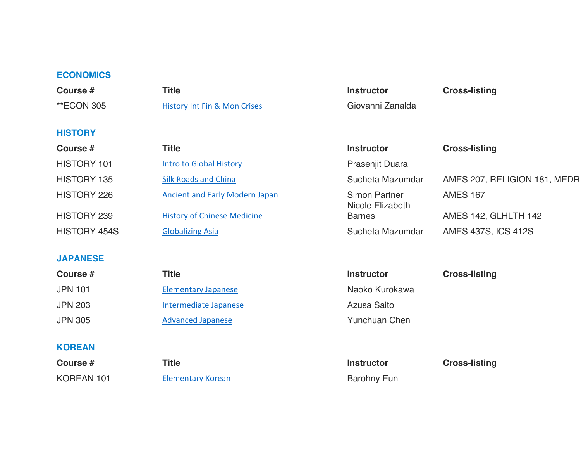#### **ECONOMICS**

| Course #                 | <b>Title</b>                            | <b>Instructor</b>                        | <b>Cross-listing</b>          |
|--------------------------|-----------------------------------------|------------------------------------------|-------------------------------|
| <b><i>**ECON 305</i></b> | <b>History Int Fin &amp; Mon Crises</b> | Giovanni Zanalda                         |                               |
| <b>HISTORY</b>           |                                         |                                          |                               |
| Course #                 | <b>Title</b>                            | <b>Instructor</b>                        | <b>Cross-listing</b>          |
| HISTORY 101              | <b>Intro to Global History</b>          | Prasenjit Duara                          |                               |
| <b>HISTORY 135</b>       | <b>Silk Roads and China</b>             | Sucheta Mazumdar                         | AMES 207, RELIGION 181, MEDRI |
| HISTORY 226              | <b>Ancient and Early Modern Japan</b>   | <b>Simon Partner</b><br>Nicole Elizabeth | <b>AMES 167</b>               |
| HISTORY 239              | <b>History of Chinese Medicine</b>      | <b>Barnes</b>                            | AMES 142, GLHLTH 142          |
| HISTORY 454S             | <b>Globalizing Asia</b>                 | Sucheta Mazumdar                         | <b>AMES 437S, ICS 412S</b>    |
| <b>JAPANESE</b>          |                                         |                                          |                               |
| Course #                 | <b>Title</b>                            | <b>Instructor</b>                        | <b>Cross-listing</b>          |
| <b>JPN 101</b>           | <b>Elementary Japanese</b>              | Naoko Kurokawa                           |                               |
| <b>JPN 203</b>           | Intermediate Japanese                   | Azusa Saito                              |                               |
| <b>JPN 305</b>           | <b>Advanced Japanese</b>                | <b>Yunchuan Chen</b>                     |                               |
|                          |                                         |                                          |                               |

# **KOREAN**

**Course #** Title **The Title Instructor Cross-listing** KOREAN 101 Elementary Korean Barohny Eun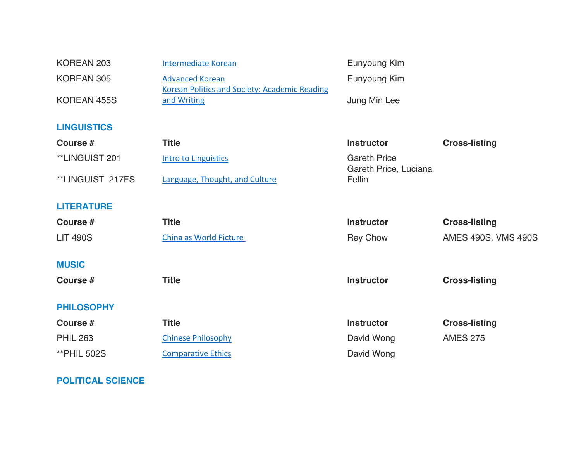| KOREAN 203         | <b>Intermediate Korean</b>                                                     | Eunyoung Kim                                 |                      |
|--------------------|--------------------------------------------------------------------------------|----------------------------------------------|----------------------|
| KOREAN 305         | <b>Advanced Korean</b><br><b>Korean Politics and Society: Academic Reading</b> | Eunyoung Kim                                 |                      |
| KOREAN 455S        | and Writing                                                                    | Jung Min Lee                                 |                      |
| <b>LINGUISTICS</b> |                                                                                |                                              |                      |
| Course #           | <b>Title</b>                                                                   | <b>Instructor</b>                            | <b>Cross-listing</b> |
| **LINGUIST 201     | <b>Intro to Linguistics</b>                                                    | <b>Gareth Price</b><br>Gareth Price, Luciana |                      |
| **LINGUIST 217FS   | Language, Thought, and Culture                                                 | Fellin                                       |                      |
| <b>LITERATURE</b>  |                                                                                |                                              |                      |
| Course #           | <b>Title</b>                                                                   | <b>Instructor</b>                            | <b>Cross-listing</b> |
| <b>LIT 490S</b>    | China as World Picture                                                         | <b>Rey Chow</b>                              | AMES 490S, VMS 490S  |
| <b>MUSIC</b>       |                                                                                |                                              |                      |
| Course #           | <b>Title</b>                                                                   | <b>Instructor</b>                            | <b>Cross-listing</b> |
| <b>PHILOSOPHY</b>  |                                                                                |                                              |                      |
| Course #           | <b>Title</b>                                                                   | <b>Instructor</b>                            | <b>Cross-listing</b> |
| <b>PHIL 263</b>    | <b>Chinese Philosophy</b>                                                      | David Wong                                   | <b>AMES 275</b>      |
| <b>**PHIL 502S</b> | <b>Comparative Ethics</b>                                                      | David Wong                                   |                      |

# **POLITICAL SCIENCE**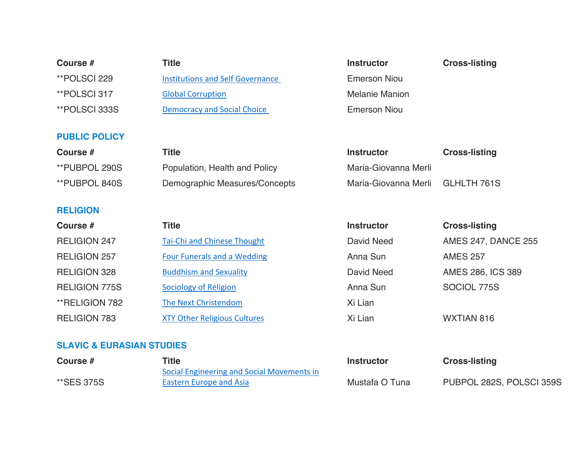| Course #                 | <b>Title</b>                            | <b>Instructor</b>     | <b>Cross-listing</b> |
|--------------------------|-----------------------------------------|-----------------------|----------------------|
| **POLSCI 229             | <b>Institutions and Self Governance</b> | <b>Emerson Niou</b>   |                      |
| **POLSCI 317             | <b>Global Corruption</b>                | <b>Melanie Manion</b> |                      |
| **POLSCI 333S            | <b>Democracy and Social Choice</b>      | <b>Emerson Niou</b>   |                      |
|                          |                                         |                       |                      |
| <b>PUBLIC POLICY</b>     |                                         |                       |                      |
| Course #                 | <b>Title</b>                            | <b>Instructor</b>     | <b>Cross-listing</b> |
| <b>**PUBPOL 290S</b>     | Population, Health and Policy           | Maria-Giovanna Merli  |                      |
| <b>**PUBPOL 840S</b>     | Demographic Measures/Concepts           | Maria-Giovanna Merli  | GLHLTH 761S          |
|                          |                                         |                       |                      |
| <b>RELIGION</b>          |                                         |                       |                      |
| $C_{\text{Allres}}$ $\#$ | Title                                   | Inetructor            | Croec-lieting        |

| Course #             | Title                               | <b>Instructor</b> | <b>Cross-listing</b>       |
|----------------------|-------------------------------------|-------------------|----------------------------|
| <b>RELIGION 247</b>  | Tai-Chi and Chinese Thought         | David Need        | <b>AMES 247, DANCE 255</b> |
| <b>RELIGION 257</b>  | Four Funerals and a Wedding         | Anna Sun          | <b>AMES 257</b>            |
| <b>RELIGION 328</b>  | <b>Buddhism and Sexuality</b>       | David Need        | AMES 286, ICS 389          |
| <b>RELIGION 775S</b> | Sociology of Religion               | Anna Sun          | SOCIOL 775S                |
| **RELIGION 782       | The Next Christendom                | Xi Lian           |                            |
| <b>RELIGION 783</b>  | <b>XTY Other Religious Cultures</b> | Xi Lian           | WXTIAN 816                 |
|                      |                                     |                   |                            |

## **SLAVIC & EURASIAN STUDIES**

| Course #   | <b>Title</b>                               | Instructor     | <b>Cross-listing</b>     |
|------------|--------------------------------------------|----------------|--------------------------|
|            | Social Engineering and Social Movements in |                |                          |
| **SES 375S | <b>Eastern Europe and Asia</b>             | Mustafa O Tuna | PUBPOL 282S, POLSCI 359S |